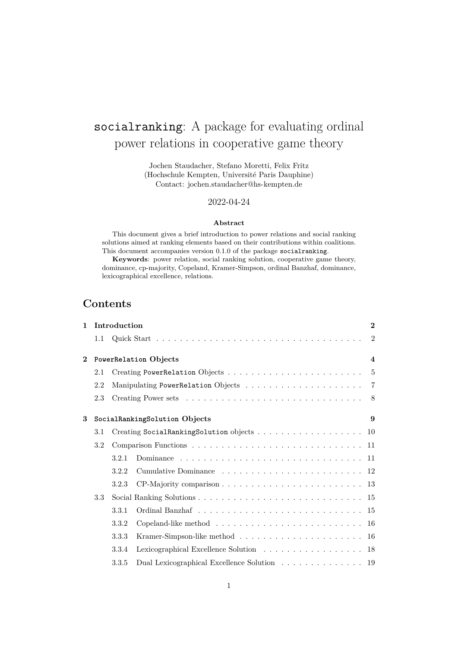# socialranking: A package for evaluating ordinal power relations in cooperative game theory

Jochen Staudacher, Stefano Moretti, Felix Fritz (Hochschule Kempten, Université Paris Dauphine) Contact: jochen.staudacher@hs-kempten.de

# 2022-04-24

#### **Abstract**

This document gives a brief introduction to power relations and social ranking solutions aimed at ranking elements based on their contributions within coalitions. This document accompanies version 0.1.0 of the package socialranking.

**Keywords**: power relation, social ranking solution, cooperative game theory, dominance, cp-majority, Copeland, Kramer-Simpson, ordinal Banzhaf, dominance, lexicographical excellence, relations.

# **Contents**

| Introduction<br>$\mathbf{1}$ |     |                               |                                                                                  | $\mathbf{2}$   |
|------------------------------|-----|-------------------------------|----------------------------------------------------------------------------------|----------------|
|                              | 1.1 |                               |                                                                                  | $\overline{2}$ |
| $\bf{2}$                     |     | PowerRelation Objects         |                                                                                  |                |
|                              | 2.1 |                               |                                                                                  | $\overline{5}$ |
|                              | 2.2 |                               |                                                                                  | $\overline{7}$ |
|                              | 2.3 |                               |                                                                                  | -8             |
| 3                            |     | SocialRankingSolution Objects |                                                                                  | 9              |
|                              | 3.1 |                               | Creating SocialRankingSolution objects 10                                        |                |
|                              | 3.2 |                               |                                                                                  |                |
|                              |     | 3.2.1                         |                                                                                  |                |
|                              |     | 3.2.2                         |                                                                                  |                |
|                              |     | 3.2.3                         |                                                                                  |                |
|                              | 3.3 |                               |                                                                                  |                |
|                              |     | 3.3.1                         |                                                                                  |                |
|                              |     | 3.3.2                         |                                                                                  |                |
|                              |     | 3.3.3                         |                                                                                  |                |
|                              |     | 3.3.4                         | Lexicographical Excellence Solution 18                                           |                |
|                              |     | 3.3.5                         | Dual Lexicographical Excellence Solution $\ldots \ldots \ldots \ldots \ldots$ 19 |                |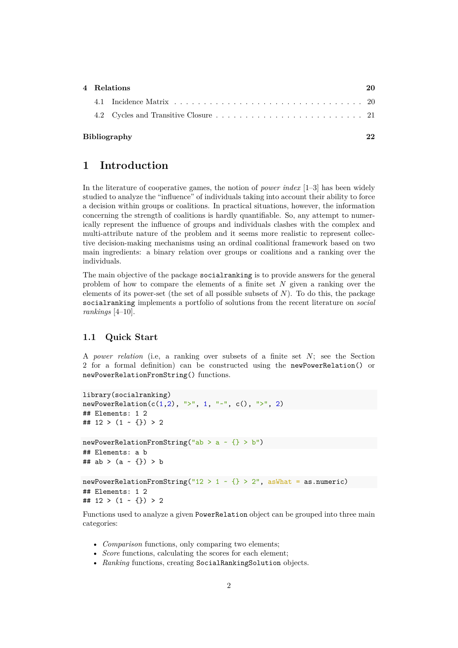|  | 20 |  |  |
|--|----|--|--|
|  |    |  |  |
|  |    |  |  |
|  |    |  |  |

### **Bibliography 22**

# **1 Introduction**

In the literature of cooperative games, the notion of *power index* [1–3] has been widely studied to analyze the "influence" of individuals taking into account their ability to force a decision within groups or coalitions. In practical situations, however, the information concerning the strength of coalitions is hardly quantifiable. So, any attempt to numerically represent the influence of groups and individuals clashes with the complex and multi-attribute nature of the problem and it seems more realistic to represent collective decision-making mechanisms using an ordinal coalitional framework based on two main ingredients: a binary relation over groups or coalitions and a ranking over the individuals.

The main objective of the package socialranking is to provide answers for the general problem of how to compare the elements of a finite set  $N$  given a ranking over the elements of its power-set (the set of all possible subsets of  $N$ ). To do this, the package socialranking implements a portfolio of solutions from the recent literature on *social rankings* [4–10].

### **1.1 Quick Start**

A *power relation* (i.e. a ranking over subsets of a finite set N; see the Section 2 for a formal definition) can be constructed using the newPowerRelation() or newPowerRelationFromString() functions.

```
library(socialranking)
newPowerRelation(c(1,2), ">", 1, "~", c(), ">", 2)
## Elements: 1 2
## 12 > (1 - \{\}) > 2newPowerRelationFromString("ab > a \sim {} > b")
## Elements: a b
## ab > (a - \{\}) > bnewPowerRelationFromString("12 > 1 ~ {} > 2", asWhat = as.numeric)
## Elements: 1 2
## 12 > (1 - \{\}) > 2
```
Functions used to analyze a given PowerRelation object can be grouped into three main categories:

- *Comparison* functions, only comparing two elements;
- *Score* functions, calculating the scores for each element:
- *Ranking* functions, creating SocialRankingSolution objects.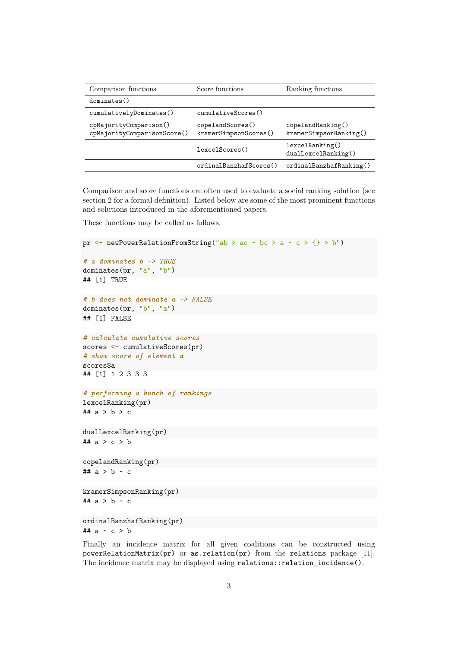| Comparison functions                                  | Score functions                           | Ranking functions                           |
|-------------------------------------------------------|-------------------------------------------|---------------------------------------------|
| dominates()                                           |                                           |                                             |
| cumulativelyDominates()                               | cumulativeScores()                        |                                             |
| cpMajorityComparison()<br>cpMajorityComparisonScore() | copelandScores()<br>kramerSimpsonScores() | copelandRanking()<br>kramersimpsonRanking() |
|                                                       | lexcelScores()                            | lexcellRanking()<br>dualLexcelRanking()     |
|                                                       | ordinalBanzhafScores()                    | ordinalBanzhafRanking()                     |

Comparison and score functions are often used to evaluate a social ranking solution (see section 2 for a formal definition). Listed below are some of the most prominent functions and solutions introduced in the aforementioned papers.

These functions may be called as follows.

```
pr \leftarrow newPowerRelationFromString("ab > ac ~ bc > a ~ c > {} > b")
# a dominates b -> TRUE
dominates(pr, "a", "b")
## [1] TRUE
# b does not dominate a -> FALSE
dominates(pr, "b", "a")
## [1] FALSE
# calculate cumulative scores
scores <- cumulativeScores(pr)
# show score of element a
scores$a
## [1] 1 2 3 3 3
# performing a bunch of rankings
lexcelRanking(pr)
## a > b > c
dualLexcelRanking(pr)
## a > c > b
copelandRanking(pr)
## a > b ~ c
kramerSimpsonRanking(pr)
## a > b ~ c
ordinalBanzhafRanking(pr)
## a ~ c > b
```
Finally an incidence matrix for all given coalitions can be constructed using powerRelationMatrix(pr) or as.relation(pr) from the relations package [11]. The incidence matrix may be displayed using relations::relation\_incidence().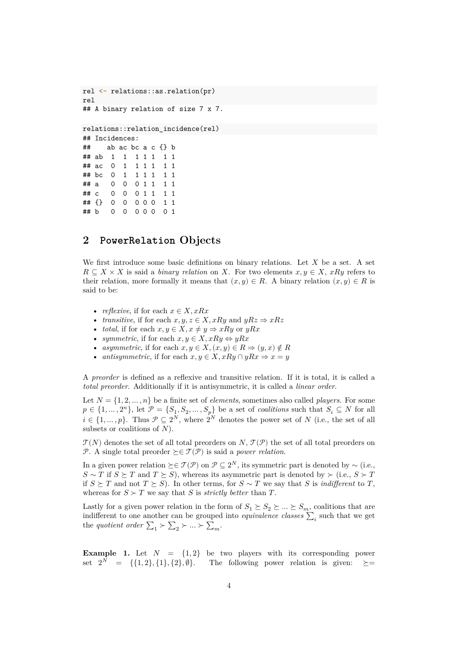```
rel <- relations::as.relation(pr)
rel
## A binary relation of size 7 x 7.
relations::relation_incidence(rel)
## Incidences:
## ab ac bc a c {} b
## ab 1 1 1 1 1 1 1
## ac 0 1 1 1 1 1 1
## bc 0 1 1 1 1 1 1
\# a 0 0 0 1 1 1 1 1
## c 0 0 0 1 1 1 1
## {} 0 0 0 0 0 1 1
## b 0 0 0 0 0 0 1
```
# **2 PowerRelation Objects**

We first introduce some basic definitions on binary relations. Let  $X$  be a set. A set  $R \subseteq X \times X$  is said a *binary relation* on X. For two elements  $x, y \in X$ ,  $xRy$  refers to their relation, more formally it means that  $(x, y) \in R$ . A binary relation  $(x, y) \in R$  is said to be:

- *reflexive*, if for each  $x \in X, xRx$
- *transitive*, if for each  $x, y, z \in X$ , xRy and  $yRz \Rightarrow xRz$
- *total*, if for each  $x, y \in X, x \neq y \Rightarrow xRy$  or  $yRx$
- *symmetric*, if for each  $x, y \in X$ ,  $xRy \Leftrightarrow yRx$
- *asymmetric*, if for each  $x, y \in X$ ,  $(x, y) \in R \Rightarrow (y, x) \notin R$
- *antisymmetric*, if for each  $x, y \in X$ ,  $xRy \cap yRx \Rightarrow x = y$

A *preorder* is defined as a reflexive and transitive relation. If it is total, it is called a *total preorder*. Additionally if it is antisymmetric, it is called a *linear order*.

Let  $N = \{1, 2, ..., n\}$  be a finite set of *elements*, sometimes also called *players*. For some  $p \in \{1, ..., 2^n\}$ , let  $\mathcal{P} = \{S_1, S_2, ..., S_p\}$  be a set of *coalitions* such that  $S_i \subseteq N$  for all<br> $i \in \{1, ..., 2^n\}$ . Thus  $\mathcal{P} \subseteq N$  where  $2^N$  denotes the narrow set of N (i.e., the set of all  $i \in \{1, ..., p\}$ . Thus  $\mathcal{P} \subseteq 2^N$ , where  $2^N$  denotes the power set of N (i.e., the set of all subsets or coalitions of N) subsets or coalitions of  $N$ ).

 $\mathcal{T}(N)$  denotes the set of all total preorders on  $N, \mathcal{T}(\mathcal{P})$  the set of all total preorders on P. A single total preorder  $\succeq \in \mathcal{T}(\mathcal{P})$  is said a *power relation*.

In a given power relation  $\succeq \in \mathcal{T}(\mathcal{P})$  on  $\mathcal{P} \subseteq 2^N$ , its symmetric part is denoted by ~ (i.e.,  $S \sim T$  if  $S \succeq T$  and  $T \succeq S$ ), whereas its asymmetric part is denoted by ≻ (i.e.,  $S \succ T$ if  $S \succeq T$  and not  $T \succeq S$ ). In other terms, for  $S \sim T$  we say that S is *indifferent* to T, whereas for  $S \succ T$  we say that S is *strictly better* than T.

Lastly for a given power relation in the form of  $S_1 \succeq S_2 \succeq ... \succeq S_m$ , coalitions that are<br>indifferent to one another can be ground into equivalence classes  $\sum$ , such that we get indifferent to one another can be grouped into *equivalence classes*  $\sum_i$  such that we get<br>the *quotient order*  $\sum \geq \sum \geq \sum$ the *quotient order*  $\Sigma_1 \succ \Sigma_2 \succ \dots \succ \Sigma_m$ .

**Example 1.** Let  $N = \{1, 2\}$  be two players with its corresponding power set  $2^N = \{ \{1,2\}, \{1\}, \{2\}, \emptyset \}.$ The following power relation is given:  $\succeq=$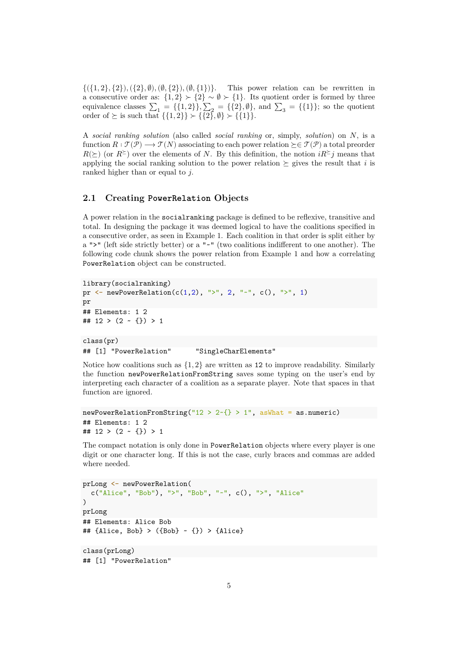$\{(1, 2), (2), (2), (0), (0, 1)\}$ . This power relation can be rewritten in a consecutive order as:  $\{1,2\} \succ \{2\} \sim \emptyset \succ \{1\}$ . Its quotient order is formed by three<br>equivalence classes  $\sum_{n=1}^{\infty}$  =  $\{1, 2\}$ ,  $\sum_{n=1}^{\infty}$  =  $\{1, 2\}$ ,  $\sum_{n=1}^{\infty}$  =  $\{1, 1\}$ , so the quotient equivalence classes  $\sum_1 = \{\{1, 2\}\}, \sum_2 = \{\{2\}, \emptyset\},$  and  $\sum_3 = \{\{1\}\}\$ ; so the quotient order of  $\succeq$  is such that  $\{11, 21\} \subset \{19\}$   $\emptyset\} \subset \{111\}$ order of  $\succeq$  is such that  $\{\{1,2\}\}\succ \{\{2\},\emptyset\}\succ \{\{1\}\}.$ 

<sup>A</sup> *social ranking solution* (also called *social ranking* or, simply, *solution*) on 㕁, is a function  $R: \mathcal{T}(\mathcal{P}) \longrightarrow \mathcal{T}(N)$  associating to each power relation  $\succeq \mathcal{F}(\mathcal{P})$  a total preorder  $R(\succeq)$  (or  $R \succeq$ ) over the elements of N. By this definition, the notion  $iR \succeq j$  means that applying the social ranking solution to the power relation  $\succeq$  gives the result that *i* is ranked higher than or equal to  $j$ .

# **2.1 Creating PowerRelation Objects**

A power relation in the social ranking package is defined to be reflexive, transitive and total. In designing the package it was deemed logical to have the coalitions specified in a consecutive order, as seen in Example 1. Each coalition in that order is split either by a " $>$ " (left side strictly better) or a " $\sim$ " (two coalitions indifferent to one another). The following code chunk shows the power relation from Example 1 and how a correlating PowerRelation object can be constructed.

```
library(socialranking)
pr \leq newPowerRelation(c(1,2), ">", 2, "~", c(), ">", 1)
pr
## Elements: 1 2
## 12 > (2 - \{\}) > 1class(pr)
## [1] "PowerRelation" "SingleCharElements"
```
Notice how coalitions such as  $\{1, 2\}$  are written as 12 to improve readability. Similarly the function newPowerRelationFromString saves some typing on the user's end by interpreting each character of a coalition as a separate player. Note that spaces in that function are ignored.

```
newPowerRelationFromString("12 > 2-\{\} > 1", asWhat = as.numeric)
## Elements: 1 2
## 12 > (2 - \{\}) > 1
```
The compact notation is only done in PowerRelation objects where every player is one digit or one character long. If this is not the case, curly braces and commas are added where needed.

```
prLong <- newPowerRelation(
  c("Alice", "Bob"), ">", "Bob", "~", c(), ">", "Alice"
)
prLong
## Elements: Alice Bob
## {Alice, Bob} > ({Bob} ~ {}) > {Alice}
class(prLong)
```
## [1] "PowerRelation"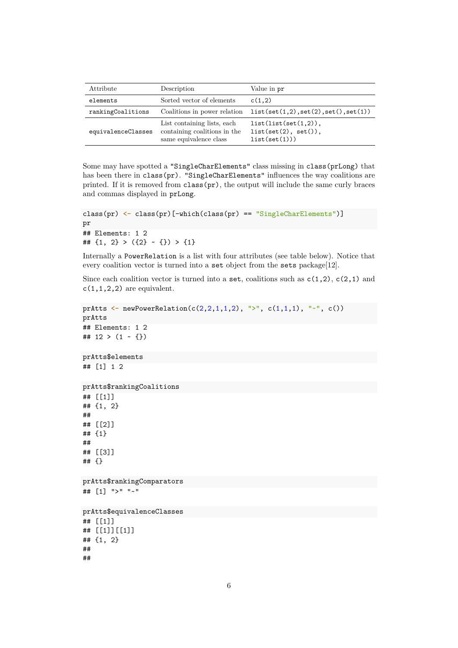| Attribute          | Description                                                                           | Value in pr                                                         |
|--------------------|---------------------------------------------------------------------------------------|---------------------------------------------------------------------|
| elements           | Sorted vector of elements                                                             | c(1,2)                                                              |
| rankingCoalitions  | Coalitions in power relation                                                          | list(set(1,2), set(2), set(), set(1))                               |
| equivalenceClasses | List containing lists, each<br>containing coalitions in the<br>same equivalence class | $list(list(set(1,2))$ ,<br>$list(set(2), set())$ ,<br>list(set(1))) |

Some may have spotted a "SingleCharElements" class missing in class(prLong) that has been there in class(pr). "SingleCharElements" influences the way coalitions are printed. If it is removed from  $\text{class}(\text{pr})$ , the output will include the same curly braces and commas displayed in prLong.

```
class(pr) <- class(pr)[-which(class(pr) == "SingleCharElements")]
pr
## Elements: 1 2
## \{1, 2\} > (\{2\} ~ \{\}) > \{1\}
```
Internally a PowerRelation is a list with four attributes (see table below). Notice that every coalition vector is turned into a set object from the sets package[12].

Since each coalition vector is turned into a set, coalitions such as  $c(1,2)$ ,  $c(2,1)$  and  $c(1,1,2,2)$  are equivalent.

```
prAtts \leq newPowerRelation(c(2,2,1,1,2), ">", c(1,1,1), "\leq", c())
prAtts
## Elements: 1 2
## 12 > (1 - \{\})prAtts$elements
## [1] 1 2
prAtts$rankingCoalitions
## [[1]]
## {1, 2}
##
## [[2]]
## {1}
##
## [[3]]
## {}
prAtts$rankingComparators
## [1] ">" "~"
prAtts$equivalenceClasses
## [[1]]
## [[1]][[1]]
## {1, 2}
##
##
```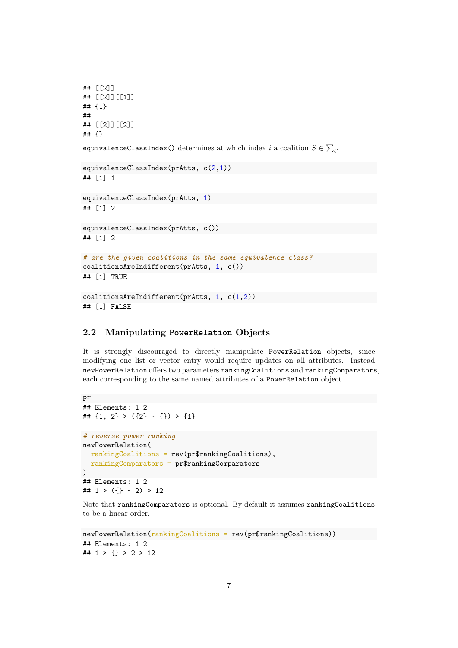```
## [[2]]
## [[2]][[1]]
## {1}
##
## [[2]][[2]]
## {}
equivalenceClassIndex() determines at which index i a coalition S \in \sum_i.
equivalenceClassIndex(prAtts, c(2,1))
## [1] 1
equivalenceClassIndex(prAtts, 1)
## [1] 2
equivalenceClassIndex(prAtts, c())
## [1] 2
# are the given coalitions in the same equivalence class?
coalitionsAreIndifferent(prAtts, 1, c())
## [1] TRUE
coalitionsAreIndifferent(prAtts, 1, c(1,2))
## [1] FALSE
```
# **2.2 Manipulating PowerRelation Objects**

It is strongly discouraged to directly manipulate PowerRelation objects, since modifying one list or vector entry would require updates on all attributes. Instead newPowerRelation offers two parameters rankingCoalitions and rankingComparators, each corresponding to the same named attributes of a PowerRelation object.

```
pr
## Elements: 1 2
## \{1, 2\} > (\{2\} ~ \{\}) > \{1\}# reverse power ranking
newPowerRelation(
  rankingCoalitions = rev(pr$rankingCoalitions),
  rankingComparators = pr$rankingComparators
)
## Elements: 1 2
## 1 > (\{\} \sim 2) > 12
```
Note that rankingComparators is optional. By default it assumes rankingCoalitions to be a linear order.

```
newPowerRelation(rankingCoalitions = rev(pr$rankingCoalitions))
## Elements: 1 2
## 1 > \{\} > 2 > 12
```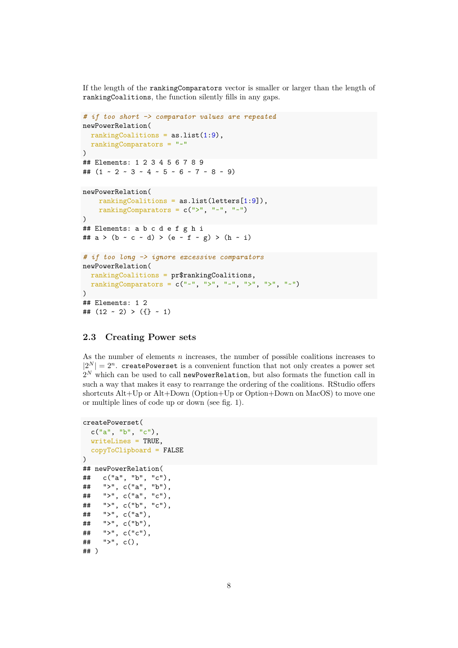If the length of the rankingComparators vector is smaller or larger than the length of rankingCoalitions, the function silently fills in any gaps.

```
# if too short -> comparator values are repeated
newPowerRelation(
  rankingCoalitions = as.list(1:9),
  rankingComparators = "~"
)
## Elements: 1 2 3 4 5 6 7 8 9
## (1 - 2 - 3 - 4 - 5 - 6 - 7 - 8 - 9)newPowerRelation(
    rankingCoalitions = as.list(letters[1:9]),
    rankingComparators = c(">", "~"", "~"\lambda## Elements: a b c d e f g h i
## a > (b ~ c ~ d) > (e ~ f ~ g) > (h ~ i)
# if too long -> ignore excessive comparators
newPowerRelation(
  rankingCoalitions = pr$rankingCoalitions,
  rankingComparators = c("-", ">", "-", ">", ">", ">", "-\lambda## Elements: 1 2
## (12 \sim 2) > (\{\} \sim 1)
```
# **2.3 Creating Power sets**

As the number of elements  $n$  increases, the number of possible coalitions increases to  $|2^N| = 2^n$ . createPowerset is a convenient function that not only creates a power set such a way that makes it easy to rearrange the ordering of the coalitions. RStudio offers  $2^N$  which can be used to call newPowerRelation, but also formats the function call in shortcuts Alt+Up or Alt+Down (Option+Up or Option+Down on MacOS) to move one or multiple lines of code up or down (see fig. 1).

```
createPowerset(
 c("a", "b", "c"),
 writeLines = TRUE,
 copyToClipboard = FALSE
)
## newPowerRelation(
## c("a", "b", "c"),
## ">", c("a", "b"),
## ">", c("a", "c"),
## ">", c("b", "c"),
## ">", c("a"),
## ">", c("b"),
## ">", c("c"),
## ">", c(),
## )
```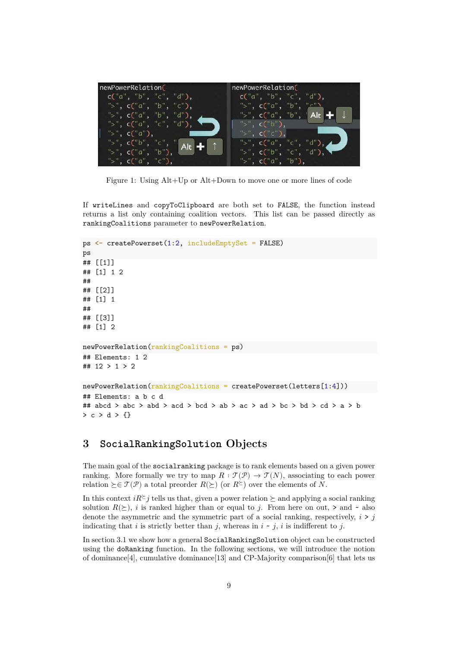| newPowerRelation(         | newPowerRelation(                          |
|---------------------------|--------------------------------------------|
| c("a", "b", "c", "d"),    | $c("a", "b", "c", "d")$ ,                  |
| $">'$ , c("a", "b", "c"), | ">", $c("a", "b", "c"$                     |
| ">", c("a", "b", "d"),    | ">", $c("a", "b", \ Alt \rightarrow$       |
| ">", $c("a", "c", "d"),$  | ">", $c("b")$ ,                            |
| $">'$ , c("a"),           | $">'$ , c( $"$ c $'$ ),                    |
| ">", $c("b", "c", "Alt"$  | $">'$ , c("a", "c", "d"), $\blacktriangle$ |
| ">", c("a", "b"),         | ">", c("b", "c", "d"),                     |
| ">", $c("a", "c")$ ,      | ">", c("a", "b"),                          |

Figure 1: Using Alt+Up or Alt+Down to move one or more lines of code

If writeLines and copyToClipboard are both set to FALSE, the function instead returns a list only containing coalition vectors. This list can be passed directly as rankingCoalitions parameter to newPowerRelation.

```
ps <- createPowerset(1:2, includeEmptySet = FALSE)
ps
## [[1]]
## [1] 1 2
##
## [[2]]
## [1] 1
##
## [[3]]
## [1] 2
newPowerRelation(rankingCoalitions = ps)
## Elements: 1 2
## 12 > 1 > 2
newPowerRelation(rankingCoalitions = createPowerset(letters[1:4]))
## Elements: a b c d
## abcd > abc > abd > acd > bcd > ab > ac > ad > bc > bd > cd > a > b
> c > d > \{\}
```
# **3 SocialRankingSolution Objects**

The main goal of the socialranking package is to rank elements based on a given power ranking. More formally we try to map  $R : \mathcal{T}(\mathcal{P}) \to \mathcal{T}(N)$ , associating to each power relation  $\succeq \in \mathcal{T}(\mathcal{P})$  a total preorder  $R(\succeq)$  (or  $R^{\succeq}$ ) over the elements of N.

In this context  $i\mathbb{R}^{\geq} j$  tells us that, given a power relation  $\succeq$  and applying a social ranking solution  $R(\succeq)$ , *i* is ranked higher than or equal to *j*. From here on out,  $\gt$  and  $\sim$  also denote the asymmetric and the symmetric part of a social ranking, respectively,  $i > j$ indicating that i is strictly better than j, whereas in  $i \sim j$ , i is indifferent to j.

In section 3.1 we show how a general SocialRankingSolution object can be constructed using the doRanking function. In the following sections, we will introduce the notion of dominance[4], cumulative dominance[13] and CP-Majority comparison[6] that lets us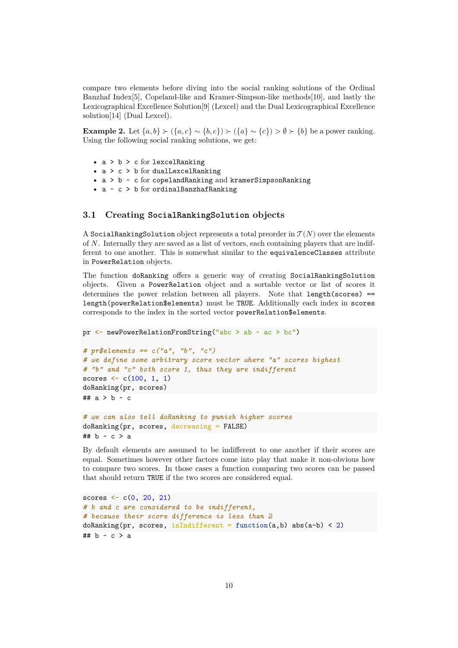compare two elements before diving into the social ranking solutions of the Ordinal Banzhaf Index[5], Copeland-like and Kramer-Simpson-like methods[10], and lastly the Lexicographical Excellence Solution[9] (Lexcel) and the Dual Lexicographical Excellence solution[14] (Dual Lexcel).

**Example 2.** Let  $\{a, b\} \succ (\{a, c\} \sim \{b, c\}) \succ (\{a\} \sim \{c\}) \gt \emptyset \succ \{b\}$  be a power ranking. Using the following social ranking solutions, we get:

- $a > b > c$  for lexcel Ranking
- $a > c > b$  for dualLexcelRanking
- a > b ~ c for copelandRanking and kramerSimpsonRanking
- a ~ c > b for ordinalBanzhafRanking

### **3.1 Creating SocialRankingSolution objects**

A SocialRankingSolution object represents a total preorder in  $\mathcal{T}(N)$  over the elements of  $N$ . Internally they are saved as a list of vectors, each containing players that are indifferent to one another. This is somewhat similar to the equivalenceClasses attribute in PowerRelation objects.

The function doRanking offers a generic way of creating SocialRankingSolution objects. Given a PowerRelation object and a sortable vector or list of scores it determines the power relation between all players. Note that length(scores) == length(powerRelation\$elements) must be TRUE. Additionally each index in scores corresponds to the index in the sorted vector powerRelation\$elements.

```
pr <- newPowerRelationFromString("abc > ab ~ ac > bc")
# pr$elements == c("a", "b", "c")
# we define some arbitrary score vector where "a" scores highest
# "b" and "c" both score 1, thus they are indifferent
scores \leq c(100, 1, 1)doRanking(pr, scores)
## a > b - c# we can also tell doRanking to punish higher scores
doRanking(pr, scores, decreasing = FALSE)
```

```
## b - c > a
```
By default elements are assumed to be indifferent to one another if their scores are equal. Sometimes however other factors come into play that make it non-obvious how to compare two scores. In those cases a function comparing two scores can be passed that should return TRUE if the two scores are considered equal.

```
scores \leq c(0, 20, 21)# b and c are considered to be indifferent,
# because their score difference is less than 2
doRanking(pr, scores, isIndifferent = function(a,b) abs(a-b) < 2)
## b - c > a
```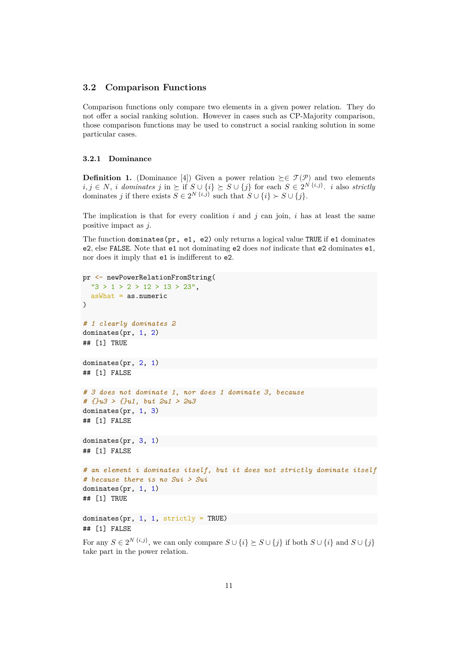#### **3.2 Comparison Functions**

Comparison functions only compare two elements in a given power relation. They do not offer a social ranking solution. However in cases such as CP-Majority comparison, those comparison functions may be used to construct a social ranking solution in some particular cases.

#### **3.2.1 Dominance**

**Definition 1.** (Dominance [4]) Given a power relation  $\succeq \in \mathcal{T}(\mathcal{P})$  and two elements  $i, j \in N$ , *i* dominates  $j$  in  $\succeq$  if  $S \cup \{i\} \succeq S \cup \{j\}$  for each  $S \in 2^N {i,j}$ , *i* also *strictly*<br>dominates *i* if there exists  $S \subset 2^N {i,j}$  such that  $S \cup \{i\} \setminus S \cup \{j\}$ dominates *i* if there exists  $\overline{S} \in 2^N \{i, \overline{j}\}$  such that  $\overline{S} \cup \{i\} \succ S \cup \{j\}$ .

The implication is that for every coalition  $i$  and  $j$  can join,  $i$  has at least the same positive impact as  $j$ .

The function dominates(pr, e1, e2) only returns a logical value TRUE if e1 dominates e2, else FALSE. Note that e1 not dominating e2 does *not* indicate that e2 dominates e1, nor does it imply that  $e1$  is indifferent to  $e2$ .

```
pr <- newPowerRelationFromString(
 "3 > 1 > 2 > 12 > 13 > 23",asWhat = as.numeric
)
# 1 clearly dominates 2
dominates(pr, 1, 2)
## [1] TRUE
dominates(pr, 2, 1)
## [1] FALSE
# 3 does not dominate 1, nor does 1 dominate 3, because
# {}u3 > {}u1, but 2u1 > 2u3
dominates(pr, 1, 3)
## [1] FALSE
dominates(pr, 3, 1)
## [1] FALSE
# an element i dominates itself, but it does not strictly dominate itself
# because there is no Sui > Sui
dominates(pr, 1, 1)
## [1] TRUE
dominates(pr, 1, 1, strictly = TRUE)
## [1] FALSE
```
For any  $S \in 2^{N \{i,j\}}$ , we can only compare  $S \cup \{i\} \succeq S \cup \{j\}$  if both  $S \cup \{i\}$  and  $S \cup \{j\}$ take part in the power relation.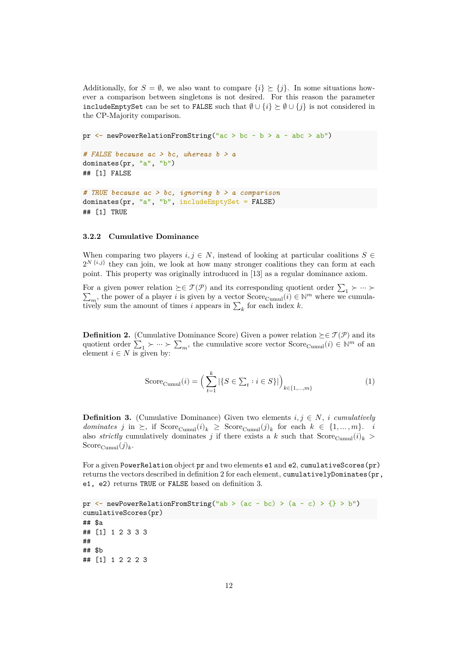Additionally, for  $S = \emptyset$ , we also want to compare  $\{i\} \succeq \{j\}$ . In some situations however a comparison between singletons is not desired. For this reason the parameter includeEmptySet can be set to FALSE such that  $\emptyset \cup \{i\} \succeq \emptyset \cup \{j\}$  is not considered in the CP-Majority comparison.

```
pr \leq newPowerRelationFromString("ac > bc \sim b > a \sim abc > ab")
# FALSE because ac > bc, whereas b > a
dominates(pr, "a", "b")
## [1] FALSE
```

```
# TRUE because ac > bc, ignoring b > a comparison
dominates(pr, "a", "b", includeEmptySet = FALSE)
## [1] TRUE
```
#### **3.2.2 Cumulative Dominance**

When comparing two players  $i, j \in N$ , instead of looking at particular coalitions  $S \in$ point. This property was originally introduced in [13] as a regular dominance axiom.  $2^{N}\binom{i,j}{j}$  they can join, we look at how many stronger coalitions they can form at each

For a given power relation  $\succeq \in \mathcal{T}(\mathcal{P})$  and its corresponding quotient order  $\sum_1 \succ \cdots \succ$  $\sum_{i=1}^{\infty}$  , the power of a player *i* is given by a vector Score<sub>Cumul</sub>( $i$ ) ∈ N<sup>*m*</sup> where we cumula-<br>w sum the amount of times *i* appears in  $\sum$  for each index *k*  $\sum_{m}$ , the power of a player v is given by a vector score cumulatively sum the amount of times *i* appears in  $\sum_{k}$  for each index *k*.

**Definition 2.** (Cumulative Dominance Score) Given a power relation  $\succeq \in \mathcal{T}(\mathcal{P})$  and its quotient order  $\sum_1 \succ \cdots \succ \sum_m$ , the cumulative score vector  $\text{Score}_{\text{Cumul}}(i) \in \mathbb{N}^m$  of an element  $i \in N$  is given by: element  $i \in N$  is given by:

$$
Score_{\text{Cumul}}(i) = \left(\sum_{t=1}^{k} |\{S \in \sum_{t} : i \in S\}| \right)_{k \in \{1, \dots, m\}} \tag{1}
$$

**Definition 3.** (Cumulative Dominance) Given two elements  $i, j \in N$ , *i cumulatively dominates*  $j$  in  $\succeq$ , if Score<sub>Cumul</sub> $(i)_k \geq$  Score<sub>Cumul</sub> $(j)_k$  for each  $k \in \{1, ..., m\}$ . *i*<br>also *strictly* cumulatively dominates  $i$  if there exists a k such that Score  $(i)$ . also *strictly* cumulatively dominates j if there exists a k such that  $Score_{Cumul}(i)_{k}$ Score<sub>Cumul</sub> $(j)_k$ .

For a given PowerRelation object pr and two elements e1 and e2, cumulativeScores(pr) returns the vectors described in definition 2 for each element, cumulativelyDominates(pr, e1, e2) returns TRUE or FALSE based on definition 3.

```
pr \leq newPowerRelationFromString("ab > (ac ~ bc) > (a ~ c) > {} > b")
cumulativeScores(pr)
## $a
## [1] 1 2 3 3 3
##
## $b
## [1] 1 2 2 2 3
```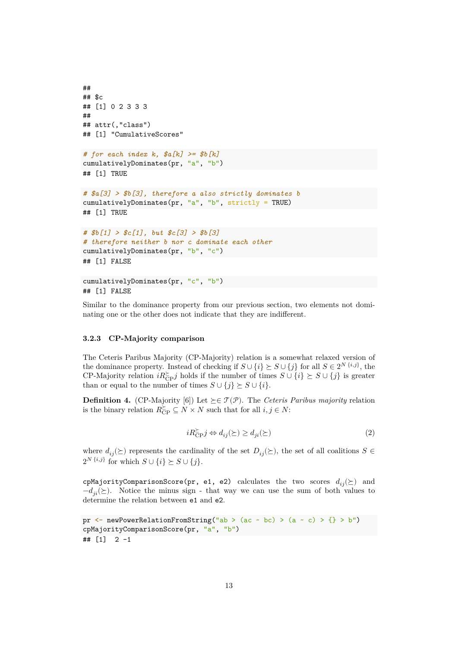```
##
## $c
## [1] 0 2 3 3 3
##
## attr(,"class")
## [1] "CumulativeScores"
# for each index k, $a[k] >= $b[k]
cumulativelyDominates(pr, "a", "b")
## [1] TRUE
# $a[3] > $b[3], therefore a also strictly dominates b
cumulativelyDominates(pr, "a", "b", strictly = TRUE)
## [1] TRUE
# $b[1] > $c[1], but $c[3] > $b[3]
# therefore neither b nor c dominate each other
cumulativelyDominates(pr, "b", "c")
## [1] FALSE
cumulativelyDominates(pr, "c", "b")
```
## [1] FALSE

Similar to the dominance property from our previous section, two elements not dominating one or the other does not indicate that they are indifferent.

#### **3.2.3 CP-Majority comparison**

The Ceteris Paribus Majority (CP-Majority) relation is a somewhat relaxed version of the dominance property. Instead of checking if  $S \cup \{i\} \succeq S \cup \{j\}$  for all  $S \in 2^N \{i,j\}$ , the CP-Majority relation  $iR_{CP}^{\succeq}j$  holds if the number of times  $S \cup \{i\} \succeq S \cup \{j\}$  is greater<br>than or equal to the number of times  $S \cup \{i\} \succeq S \cup \{i\}$ than or equal to the number of times  $S \cup \{j\} \succeq S \cup \{i\}.$ 

**Definition 4.** (CP-Majority [6]) Let  $\succ \in \mathcal{T}(\mathcal{P})$ . The *Ceteris Paribus majority* relation is the binary relation  $R_{\text{CP}}^{\succeq} \subseteq N \times N$  such that for all  $i, j \in N$ :

$$
iR_{\rm CP}^{\succeq} j \Leftrightarrow d_{ij}(\succeq) \ge d_{ji}(\succeq)
$$
\n<sup>(2)</sup>

where  $d_{ij}(\succeq)$  represents the cardinality of the set  $D_{ij}(\succeq)$ , the set of all coalitions  $S \in$  $2^{N \{i,j\}}$  for which  $S \cup \{i\} \succeq S \cup \{j\}.$ 

cpMajorityComparisonScore(pr, e1, e2) calculates the two scores  $d_{ij}(\succeq)$  and  $-d_{ii}(\succeq)$ . Notice the minus sign - that way we can use the sum of both values to determine the relation between e1 and e2.

```
pr \leftarrow newPowerRelationFromString("ab > (ac ~ bc) > (a ~ c) > {} > b")
cpMajorityComparisonScore(pr, "a", "b")
\# [1] 2 -1
```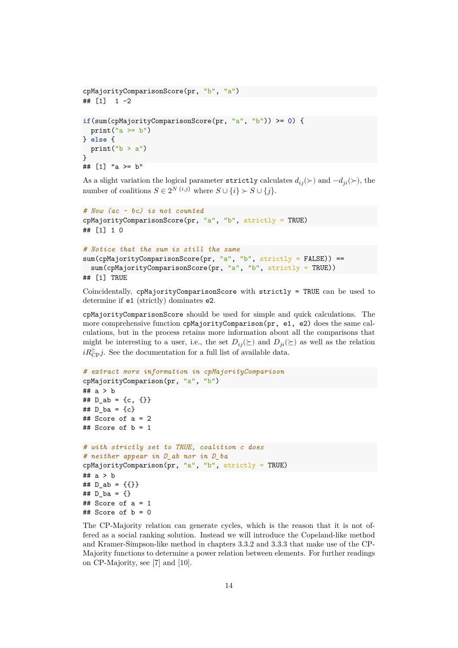```
cpMajorityComparisonScore(pr, "b", "a")
\# [1] 1 -2
if(sum(cpMajorityComparisonScore(pr, "a", "b")) >= 0) {
 print("a \ge b")
} else {
 print("b > a")}
## [1] "a >= b"
```
As a slight variation the logical parameter strictly calculates  $d_{ij}(\succ)$  and  $-d_{ji}(\succ)$ , the number of coalitions  $S \in 2^{N \{i,j\}}$  where  $S \cup \{i\} \succ S \cup \{j\}.$ 

```
# Now (ac ~ bc) is not counted
cpMajorityComparisonScore(pr, "a", "b", strictly = TRUE)
## [1] 1 0
```

```
# Notice that the sum is still the same
sum(cpMajorityComparisonScore(pr, "a", "b", strictly = FALSE)) ==
  sum(cpMajorityComparisonScore(pr, "a", "b", strictly = TRUE))## [1] TRUE
```
Coincidentally, cpMajorityComparisonScore with strictly = TRUE can be used to determine if e1 (strictly) dominates e2.

cpMajorityComparisonScore should be used for simple and quick calculations. The more comprehensive function cpMajorityComparison(pr, e1, e2) does the same calculations, but in the process retains more information about all the comparisons that might be interesting to a user, i.e., the set  $D_{ij}(\succeq)$  and  $D_{ji}(\succeq)$  as well as the relation  $iR_{\text{CP}}^{\geq}j$ . See the documentation for a full list of available data.

```
# extract more information in cpMajorityComparison
cpMajorityComparison(pr, "a", "b")
## a > b
## D_ab = {c, {}}
## D ba = {c}## Score of a = 2
## Score of b = 1# with strictly set to TRUE, coalition c does
# neither appear in D_ab nor in D_ba
cpMajorityComparison(pr, "a", "b", strictly = TRUE)
## a > b
## D_ab = {\{\}}## D ba = {}
## Score of a = 1
## Score of b = 0
```
The CP-Majority relation can generate cycles, which is the reason that it is not offered as a social ranking solution. Instead we will introduce the Copeland-like method and Kramer-Simpson-like method in chapters 3.3.2 and 3.3.3 that make use of the CP-Majority functions to determine a power relation between elements. For further readings on CP-Majority, see [7] and [10].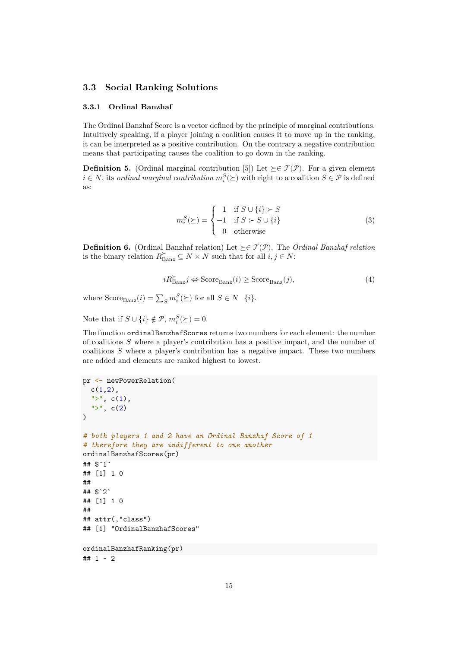# **3.3 Social Ranking Solutions**

#### **3.3.1 Ordinal Banzhaf**

The Ordinal Banzhaf Score is a vector defined by the principle of marginal contributions. Intuitively speaking, if a player joining a coalition causes it to move up in the ranking, it can be interpreted as a positive contribution. On the contrary a negative contribution means that participating causes the coalition to go down in the ranking.

**Definition 5.** (Ordinal marginal contribution [5]) Let  $\succeq \in \mathcal{T}(\mathcal{P})$ . For a given element  $i \in N$ , its *ordinal marginal contribution*  $m_i^S(\succeq)$  with right to a coalition  $S \in \mathcal{P}$  is defined as:

$$
m_i^S(\succeq) = \begin{cases} 1 & \text{if } S \cup \{i\} \succ S \\ -1 & \text{if } S \succ S \cup \{i\} \\ 0 & \text{otherwise} \end{cases}
$$
(3)

**Definition 6.** (Ordinal Banzhaf relation) Let  $\succeq \in \mathcal{T}(\mathcal{P})$ . The *Ordinal Banzhaf relation* is the binary relation  $R_{\text{Banz}}^{\succeq} \subseteq N \times N$  such that for all  $i, j \in N$ :

$$
iR_{\text{Banz}}^{\succeq} j \Leftrightarrow \text{Score}_{\text{Banz}}(i) \ge \text{Score}_{\text{Banz}}(j),\tag{4}
$$

where  $\text{Score}_{\text{Banz}}(i) = \sum_{S} m_i^{S}(\succeq)$  for all  $S \in N$  {*i*}.

ÿ

Note that if  $S \cup \{i\} \notin \mathcal{P}$ ,  $m_i^S(\succeq) = 0$ .

The function ordinalBanzhafScores returns two numbers for each element: the number of coalitions  $S$  where a player's contribution has a positive impact, and the number of coalitions  $S$  where a player's contribution has a negative impact. These two numbers are added and elements are ranked highest to lowest.

```
pr <- newPowerRelation(
  c(1,2),
  ">'', c(1),">'', c(2))
# both players 1 and 2 have an Ordinal Banzhaf Score of 1
# therefore they are indifferent to one another
ordinalBanzhafScores(pr)
## $`1`
## [1] 1 0
##
## $`2`
## [1] 1 0
##
## attr(,"class")
## [1] "OrdinalBanzhafScores"
ordinalBanzhafRanking(pr)
## 1 ~ 2
```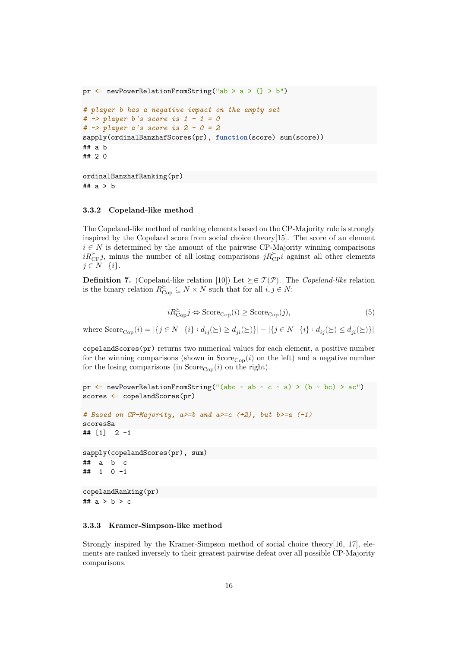```
pr \leftarrow newPowerRelationFromString("ab > a > {} > b")
# player b has a negative impact on the empty set
# -> player b's score is 1 - 1 = 0
# -> player a's score is 2 - 0 = 2
sapply(ordinalBanzhafScores(pr), function(score) sum(score))
## a b
## 2 0
```

```
ordinalBanzhafRanking(pr)
## a > b
```
#### **3.3.2 Copeland-like method**

The Copeland-like method of ranking elements based on the CP-Majority rule is strongly inspired by the Copeland score from social choice theory[15]. The score of an element  $i \in N$  is determined by the amount of the pairwise CP-Majority winning comparisons  $i\mathbb{R}_{\text{CP}}^{\geq}j$ , minus the number of all losing comparisons  $j\mathbb{R}_{\text{CP}}^{\geq}i$  against all other elements  $j \in N \{i\}.$ 

**Definition 7.** (Copeland-like relation [10]) Let  $\succeq \in \mathcal{T}(\mathcal{P})$ . The *Copeland-like* relation is the binary relation  $R_{\text{Cop}}^{\succeq} \subseteq N \times N$  such that for all  $i, j \in N$ :

$$
iR_{\text{Cop}}^{\succeq} j \Leftrightarrow \text{Score}_{\text{Cop}}(i) \ge \text{Score}_{\text{Cop}}(j),\tag{5}
$$

where  $\text{Score}_{\text{Cop}}(i) = |\{j \in N \mid \{i\} : d_{ij}(\succeq) \ge d_{ji}(\succeq)\}| - |\{j \in N \mid \{i\} : d_{ij}(\succeq) \le d_{ji}(\succeq)\}|$ 

copelandScores(pr) returns two numerical values for each element, a positive number for the winning comparisons (shown in  $Score_{Cop}(i)$  on the left) and a negative number for the losing comparisons (in  $Score_{\text{Cop}}(i)$  on the right).

```
pr \leftarrow newPowerRelationFromString("(abc ~ ab ~ c ~ a) > (b ~ bc) > ac")
scores <- copelandScores(pr)
# Based on CP-Majority, a>=b and a>=c (+2), but b>=a (-1)
scores$a
## [1] 2 -1
sapply(copelandScores(pr), sum)
## a b c
## 1 0 -1
copelandRanking(pr)
## a > b > c
```
#### **3.3.3 Kramer-Simpson-like method**

Strongly inspired by the Kramer-Simpson method of social choice theory[16, 17], elements are ranked inversely to their greatest pairwise defeat over all possible CP-Majority comparisons.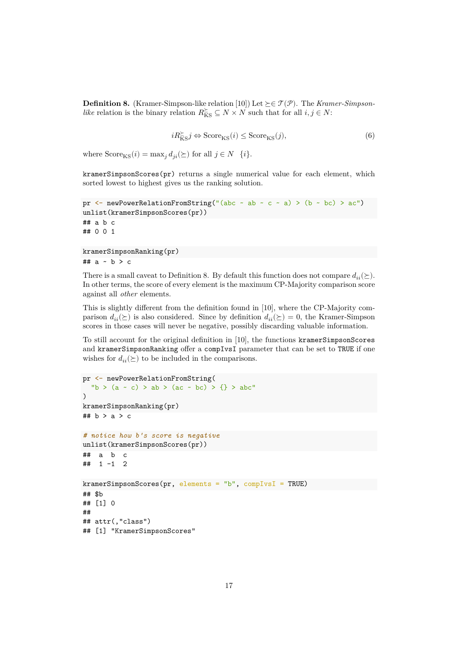**Definition 8.** (Kramer-Simpson-like relation [10]) Let  $\succeq \in \mathcal{T}(\mathcal{P})$ . The *Kramer-Simpsonlike* relation is the binary relation  $R_{\text{KS}}^{\geq} \subseteq N \times N$  such that for all  $i, j \in N$ :

$$
iR_{\text{KS}}^{\succeq} j \Leftrightarrow \text{Score}_{\text{KS}}(i) \leq \text{Score}_{\text{KS}}(j),\tag{6}
$$

where  $\text{Score}_{\text{KS}}(i) = \max_{i} d_{ii}(\succeq)$  for all  $j \in N$   $\{i\}.$ 

kramerSimpsonScores(pr) returns a single numerical value for each element, which sorted lowest to highest gives us the ranking solution.

```
pr \leq newPowerRelationFromString("(abc \sim ab \sim c \sim a) > (b \sim bc) > ac")
unlist(kramerSimpsonScores(pr))
## a b c
## 0 0 1
```

```
kramerSimpsonRanking(pr)
## a ~ b > c
```
There is a small caveat to Definition 8. By default this function does not compare  $d_{ii}(\succeq)$ . In other terms, the score of every element is the maximum CP-Majority comparison score against all *other* elements.

This is slightly different from the definition found in  $[10]$ , where the CP-Majority comparison  $d_{ii}(\succeq)$  is also considered. Since by definition  $d_{ii}(\succeq) = 0$ , the Kramer-Simpson scores in those cases will never be negative, possibly discarding valuable information.

To still account for the original definition in  $[10]$ , the functions kramerSimpsonScores and kramerSimpsonRanking offer a compIvsI parameter that can be set to TRUE if one wishes for  $d_{ii}(\succeq)$  to be included in the comparisons.

```
pr <- newPowerRelationFromString(
  "b > (a - c) > ab > (ac - bc) > {} > abc"
)
kramerSimpsonRanking(pr)
## b > a > c
# notice how b's score is negative
unlist(kramerSimpsonScores(pr))
## a b c
## 1 -1 2
kramerSimpsonScores(pr, elements = "b", compIvsI = TRUE)
## $b
## [1] 0
##
## attr(,"class")
## [1] "KramerSimpsonScores"
```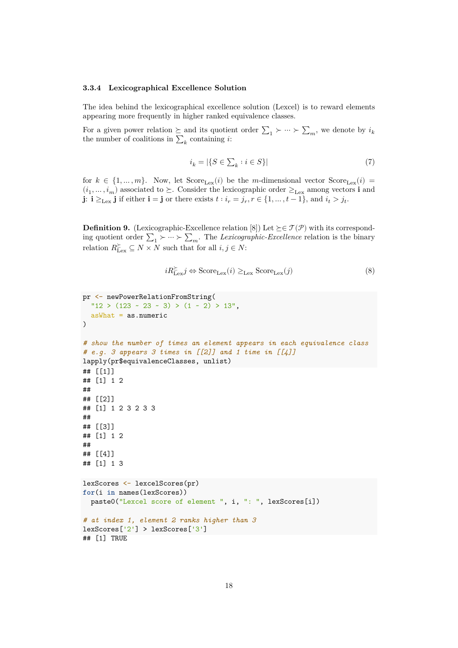#### **3.3.4 Lexicographical Excellence Solution**

The idea behind the lexicographical excellence solution (Lexcel) is to reward elements appearing more frequently in higher ranked equivalence classes.

For a given power relation  $\succeq$  and its quotient order  $\sum_1 \succ \cdots \succ \sum_m$ , we denote by  $i_k$ <br>the number of coalitions in  $\sum$  containing i: the number of coalitions in  $\sum_k$  containing *i*:

$$
i_k = |\{S \in \sum_k : i \in S\}| \tag{7}
$$

for  $k \in \{1, ..., m\}$ . Now, let  $Score_{Lex}(i)$  be the *m*-dimensional vector  $Score_{Lex}(i)$ **j**:  $\mathbf{i} \geq_{\text{Lex}} \mathbf{j}$  if either  $\mathbf{i} = \mathbf{j}$  or there exists  $t : i_r = j_r, r \in \{1, ..., t-1\}$ , and  $i_t > j_t$ .  $(i_1, \ldots, i_m)$  associated to  $\succeq$ . Consider the lexicographic order  $\geq_{\text{Lex}}$  among vectors **i** and

**Definition 9.** (Lexicographic-Excellence relation [8]) Let  $\succeq \in \mathcal{T}(\mathcal{P})$  with its corresponding quotient order  $\sum_{1} \succ \cdots \succ \sum_{m}$ . The *Lexicographic-Excellence* relation is the binary relation  $R_{\text{Lex}}^{\succeq} \subseteq N \times N$  such that for all  $i, j \in N$ :

$$
iR_{\text{Lex}}^{\succeq}j \Leftrightarrow \text{Score}_{\text{Lex}}(i) \geq_{\text{Lex}} \text{Score}_{\text{Lex}}(j)
$$
 (8)

```
pr <- newPowerRelationFromString(
 "12 > (123 - 23 - 3) > (1 - 2) > 13",asWhat = as.numeric
\lambda# show the number of times an element appears in each equivalence class
# e.g. 3 appears 3 times in [[2]] and 1 time in [[4]]
lapply(pr$equivalenceClasses, unlist)
## [[1]]
## [1] 1 2
##
## [[2]]
## [1] 1 2 3 2 3 3
##
## [[3]]
## [1] 1 2
##
## [[4]]
## [1] 1 3
lexScores <- lexcelScores(pr)
for(i in names(lexScores))
 paste0("Lexcel score of element ", i, ": ", lexScores[i])
# at index 1, element 2 ranks higher than 3
lexScores['2'] > lexScores['3']
## [1] TRUE
```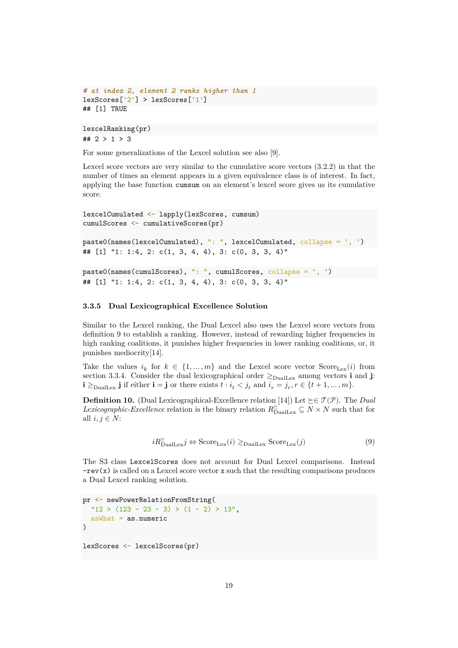```
# at index 2, element 2 ranks higher than 1
lexScores['2'] > lexScores['1']
## [1] TRUE
```

```
lexcelRanking(pr)
## 2 > 1 > 3
```
For some generalizations of the Lexcel solution see also [9].

Lexcel score vectors are very similar to the cumulative score vectors (3.2.2) in that the number of times an element appears in a given equivalence class is of interest. In fact, applying the base function cumsum on an element's lexcel score gives us its cumulative score.

```
lexcelCumulated <- lapply(lexScores, cumsum)
cumulScores <- cumulativeScores(pr)
```

```
paste0(names(lexcelCumulated), ": ", lexcelCumulated, collapse = ', ')
## [1] "1: 1:4, 2: c(1, 3, 4, 4), 3: c(0, 3, 3, 4)"
```

```
paste0(names(cumulScores), ": ", cumulScores, collapse = ', ')
## [1] "1: 1:4, 2: c(1, 3, 4, 4), 3: c(0, 3, 3, 4)"
```
#### **3.3.5 Dual Lexicographical Excellence Solution**

Similar to the Lexcel ranking, the Dual Lexcel also uses the Lexcel score vectors from definition 9 to establish a ranking. However, instead of rewarding higher frequencies in high ranking coalitions, it punishes higher frequencies in lower ranking coalitions, or, it punishes mediocrity[14].

Take the values  $i_k$  for  $k \in \{1, ..., m\}$  and the Lexcel score vector Score<sub>Lex</sub>(*i*) from<br>section 3.3.4. Consider the dual lexicographical order  $\ge$  among vectors i and i section 3.3.4. Consider the dual lexicographical order  $\geq_{\text{DualLex}}$  among vectors **i** and **j**: **i**  $\geq$ <sub>DualLex</sub> **j** if either **i** = **j** or there exists  $t : i_t < j_t$  and  $i_r = j_r, r \in \{t+1, ..., m\}$ .

**Definition 10.** (Dual Lexicographical-Excellence relation [14]) Let  $\succeq \in \mathcal{T}(\mathcal{P})$ . The *Dual Lexicographic-Excellence* relation is the binary relation  $R_{\text{DualLex}}^{\succeq} \subseteq N \times N$  such that for all  $i, i \in N$ . all  $i, j \in N$ :

$$
iR_{\text{DualLex}}^{\succeq} j \Leftrightarrow \text{Score}_{\text{Lex}}(i) \ge_{\text{DualLex}} \text{Score}_{\text{Lex}}(j)
$$
(9)

The S3 class LexcelScores does not account for Dual Lexcel comparisons. Instead  $-\text{rev}(x)$  is called on a Lexcel score vector x such that the resulting comparisons produces a Dual Lexcel ranking solution.

```
pr <- newPowerRelationFromString(
  "12 > (123 \sim 23 \sim 3) > (1 \sim 2) > 13",asWhat = as.numeric
\lambdalexScores <- lexcelScores(pr)
```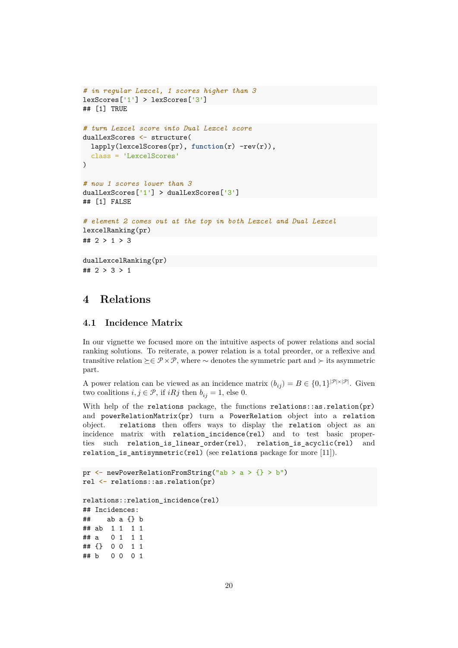```
# in regular Lexcel, 1 scores higher than 3
lexScores['1'] > lexScores['3']
## [1] TRUE
# turn Lexcel score into Dual Lexcel score
dualLexScores <- structure(
  lapply(lexcelScores(pr), function(r) -rev(r)),
 class = 'LexcelScores'
)
# now 1 scores lower than 3
dualLexScores['1'] > dualLexScores['3']
## [1] FALSE
# element 2 comes out at the top in both Lexcel and Dual Lexcel
lexcelRanking(pr)
## 2 > 1 > 3
```

```
dualLexcelRanking(pr)
## 2 > 3 > 1
```
# **4 Relations**

# **4.1 Incidence Matrix**

In our vignette we focused more on the intuitive aspects of power relations and social ranking solutions. To reiterate, a power relation is a total preorder, or a reflexive and transitive relation  $\succeq \in \mathcal{P} \times \mathcal{P}$ , where  $\sim$  denotes the symmetric part and  $\succ$  its asymmetric part.

A power relation can be viewed as an incidence matrix  $(b_{ij}) = B \in \{0,1\}^{|\mathcal{P}|\times |\mathcal{P}|}$ . Given two coalitions  $i, j \in \mathcal{P}$ , if  $iRj$  then  $b_{ij} = 1$ , else 0.

With help of the relations package, the functions relations::as.relation(pr) and powerRelationMatrix(pr) turn a PowerRelation object into a relation object. relations then offers ways to display the relation object as an incidence matrix with relation\_incidence(rel) and to test basic properties such relation\_is\_linear\_order(rel), relation\_is\_acyclic(rel) and relation\_is\_antisymmetric(rel) (see relations package for more  $[11]$ ).

```
pr \langle - newPowerRelationFromString("ab > a > {} > b")
rel <- relations::as.relation(pr)
relations::relation_incidence(rel)
## Incidences:
## ab a {} b
## ab 1 1 1 1
## a 0 1 1 1
## {} 0 0 1 1
## b 0 0 0 1
```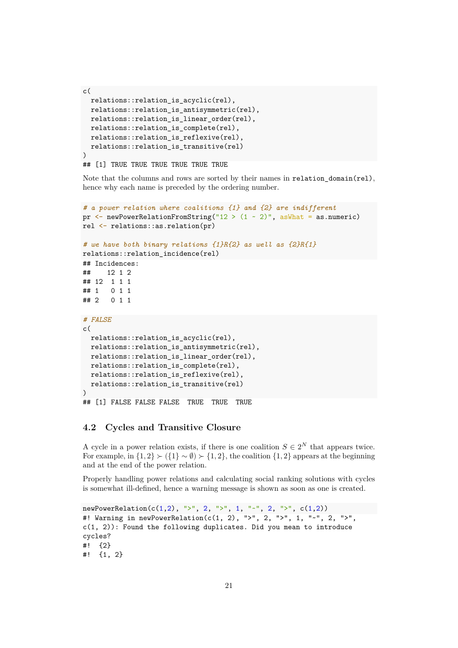```
c(
 relations::relation_is_acyclic(rel),
 relations::relation_is_antisymmetric(rel),
 relations::relation_is_linear_order(rel),
 relations::relation_is_complete(rel),
 relations::relation_is_reflexive(rel),
 relations::relation_is_transitive(rel)
)
```
## [1] TRUE TRUE TRUE TRUE TRUE TRUE

Note that the columns and rows are sorted by their names in relation domain(rel), hence why each name is preceded by the ordering number.

```
# a power relation where coalitions {1} and {2} are indifferent
pr \leq newPowerRelationFromString("12 > (1 - 2)", asWhat = as.numeric)
rel <- relations::as.relation(pr)
# we have both binary relations {1}R{2} as well as {2}R{1}
relations::relation_incidence(rel)
## Incidences:
## 12 1 2
## 12 1 1 1
## 1 0 1 1
## 2 0 1 1
# FALSE
c(
 relations::relation_is_acyclic(rel),
 relations::relation_is_antisymmetric(rel),
 relations::relation_is_linear_order(rel),
 relations::relation_is_complete(rel),
 relations::relation_is_reflexive(rel),
 relations::relation_is_transitive(rel)
)
## [1] FALSE FALSE FALSE TRUE TRUE TRUE
```
### **4.2 Cycles and Transitive Closure**

A cycle in a power relation exists, if there is one coalition  $S \in 2^N$  that appears twice. For example, in  $\{1,2\} \succ (\{1\} \sim \emptyset) \succ \{1,2\}$ , the coalition  $\{1,2\}$  appears at the beginning and at the end of the power relation.

Properly handling power relations and calculating social ranking solutions with cycles is somewhat ill-defined, hence a warning message is shown as soon as one is created.

```
newPowerRelation(c(1,2), ">", 2, ">", 1, "~", 2, ">", c(1,2))
#! Warning in newPowerRelation(c(1, 2), ">", 2, ">", 1, "~", 2, ">",
c(1, 2)): Found the following duplicates. Did you mean to introduce
cycles?
#! {2}
#! {1, 2}
```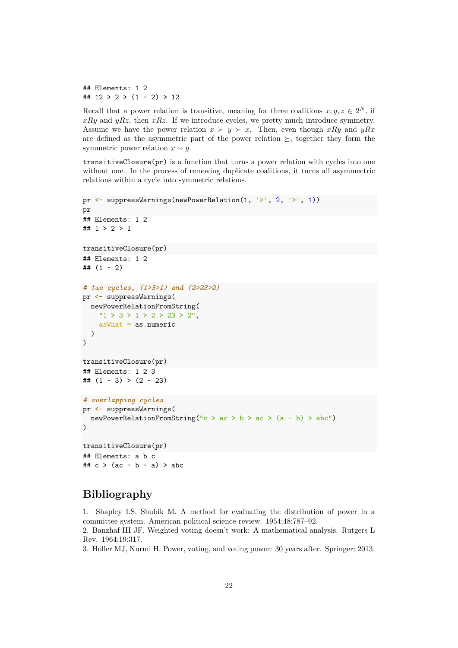## Elements: 1 2 ##  $12 > 2 > (1 - 2) > 12$ 

Recall that a power relation is transitive, meaning for three coalitions  $x, y, z \in 2^N$ , if  $xRy$  and  $yRz$ , then  $xRz$ . If we introduce cycles, we pretty much introduce symmetry. Assume we have the power relation  $x \succ y \succ x$ . Then, even though xRy and yRx are defined as the asymmetric part of the power relation  $\succeq$ , together they form the symmetric power relation  $x \sim y$ .

transitiveClosure(pr) is a function that turns a power relation with cycles into one without one. In the process of removing duplicate coalitions, it turns all asymmectric relations within a cycle into symmetric relations.

```
pr <- suppressWarnings(newPowerRelation(1, '>', 2, '>', 1))
pr
## Elements: 1 2
## 1 > 2 > 1
transitiveClosure(pr)
## Elements: 1 2
\# (1 ~ 2)
# two cycles, (1>3>1) and (2>23>2)
pr <- suppressWarnings(
  newPowerRelationFromString(
    "1 > 3 > 1 > 2 > 23 > 2",
    asWhat = as.numeric
  )
)
transitiveClosure(pr)
## Elements: 1 2 3
\# (1 ~ 3) > (2 ~ 23)
# overlapping cycles
pr <- suppressWarnings(
  newPowerRelationFromString("c > ac > b > ac > (a \sim b) > abc")
\big)transitiveClosure(pr)
## Elements: a b c
## c > (ac - b - a) > abc
```
# **Bibliography**

1. Shapley LS, Shubik M. A method for evaluating the distribution of power in a committee system. American political science review. 1954;48:787–92.

2. Banzhaf III JF. Weighted voting doesn't work: A mathematical analysis. Rutgers L Rev. 1964;19:317.

3. Holler MJ, Nurmi H. Power, voting, and voting power: 30 years after. Springer; 2013.